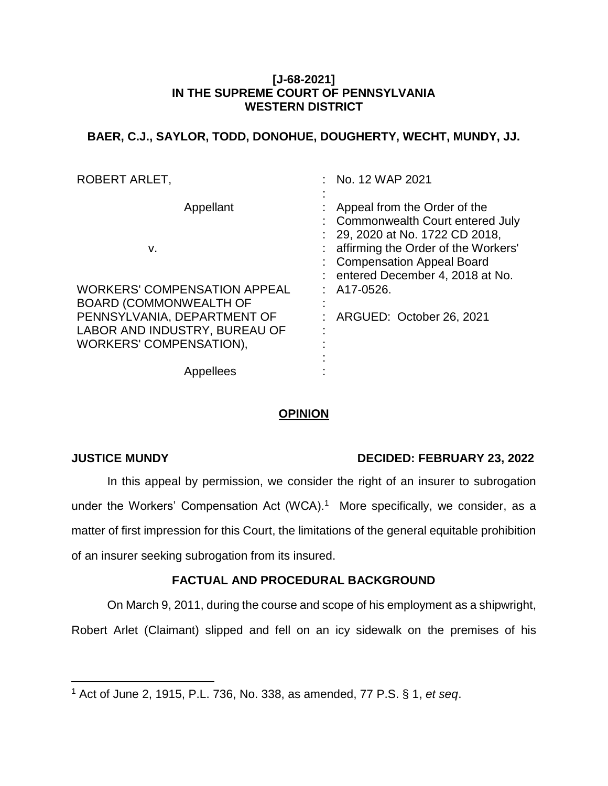### **[J-68-2021] IN THE SUPREME COURT OF PENNSYLVANIA WESTERN DISTRICT**

# **BAER, C.J., SAYLOR, TODD, DONOHUE, DOUGHERTY, WECHT, MUNDY, JJ.**

| ROBERT ARLET,                                                                                                            | $:$ No. 12 WAP 2021                                                                                                                                                                                                |
|--------------------------------------------------------------------------------------------------------------------------|--------------------------------------------------------------------------------------------------------------------------------------------------------------------------------------------------------------------|
| Appellant<br>v.                                                                                                          | Appeal from the Order of the<br>: Commonwealth Court entered July<br>$: 29,2020$ at No. 1722 CD 2018,<br>: affirming the Order of the Workers'<br>: Compensation Appeal Board<br>: entered December 4, 2018 at No. |
| <b>WORKERS' COMPENSATION APPEAL</b>                                                                                      | $:$ A17-0526.                                                                                                                                                                                                      |
| <b>BOARD (COMMONWEALTH OF</b><br>PENNSYLVANIA, DEPARTMENT OF<br>LABOR AND INDUSTRY, BUREAU OF<br>WORKERS' COMPENSATION), | : ARGUED: October 26, 2021                                                                                                                                                                                         |
| Appellees                                                                                                                |                                                                                                                                                                                                                    |

# **OPINION**

 $\overline{a}$ 

## **JUSTICE MUNDY DECIDED: FEBRUARY 23, 2022**

In this appeal by permission, we consider the right of an insurer to subrogation under the Workers' Compensation Act (WCA).<sup>1</sup> More specifically, we consider, as a matter of first impression for this Court, the limitations of the general equitable prohibition of an insurer seeking subrogation from its insured.

## **FACTUAL AND PROCEDURAL BACKGROUND**

On March 9, 2011, during the course and scope of his employment as a shipwright,

Robert Arlet (Claimant) slipped and fell on an icy sidewalk on the premises of his

<sup>1</sup> Act of June 2, 1915, P.L. 736, No. 338, as amended, 77 P.S. § 1, *et seq*.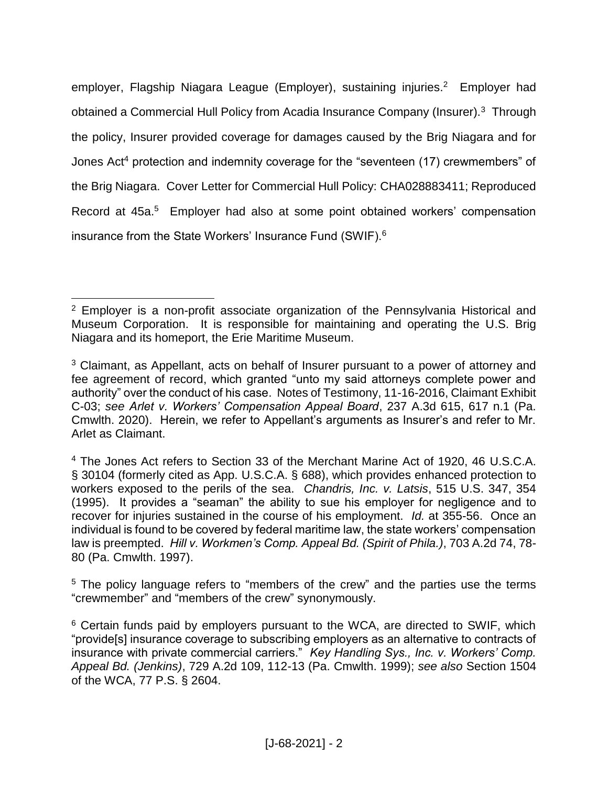employer, Flagship Niagara League (Employer), sustaining injuries. <sup>2</sup> Employer had obtained a Commercial Hull Policy from Acadia Insurance Company (Insurer).<sup>3</sup> Through the policy, Insurer provided coverage for damages caused by the Brig Niagara and for Jones Act<sup>4</sup> protection and indemnity coverage for the "seventeen (17) crewmembers" of the Brig Niagara. Cover Letter for Commercial Hull Policy: CHA028883411; Reproduced Record at 45a.<sup>5</sup> Employer had also at some point obtained workers' compensation insurance from the State Workers' Insurance Fund (SWIF).<sup>6</sup>

<sup>&</sup>lt;sup>2</sup> Employer is a non-profit associate organization of the Pennsylvania Historical and Museum Corporation. It is responsible for maintaining and operating the U.S. Brig Niagara and its homeport, the Erie Maritime Museum.

<sup>&</sup>lt;sup>3</sup> Claimant, as Appellant, acts on behalf of Insurer pursuant to a power of attorney and fee agreement of record, which granted "unto my said attorneys complete power and authority" over the conduct of his case. Notes of Testimony, 11-16-2016, Claimant Exhibit C-03; *see Arlet v. Workers' Compensation Appeal Board*, 237 A.3d 615, 617 n.1 (Pa. Cmwlth. 2020). Herein, we refer to Appellant's arguments as Insurer's and refer to Mr. Arlet as Claimant.

<sup>4</sup> The Jones Act refers to Section 33 of the Merchant Marine Act of 1920, 46 U.S.C.A. § 30104 (formerly cited as App. U.S.C.A. § 688), which provides enhanced protection to workers exposed to the perils of the sea. *Chandris, Inc. v. Latsis*, 515 U.S. 347, 354 (1995). It provides a "seaman" the ability to sue his employer for negligence and to recover for injuries sustained in the course of his employment. *Id.* at 355-56. Once an individual is found to be covered by federal maritime law, the state workers' compensation law is preempted. *Hill v. Workmen's Comp. Appeal Bd. (Spirit of Phila.)*, 703 A.2d 74, 78- 80 (Pa. Cmwlth. 1997).

<sup>&</sup>lt;sup>5</sup> The policy language refers to "members of the crew" and the parties use the terms "crewmember" and "members of the crew" synonymously.

<sup>&</sup>lt;sup>6</sup> Certain funds paid by employers pursuant to the WCA, are directed to SWIF, which "provide[s] insurance coverage to subscribing employers as an alternative to contracts of insurance with private commercial carriers." *Key Handling Sys., Inc. v. Workers' Comp. Appeal Bd. (Jenkins)*, 729 A.2d 109, 112-13 (Pa. Cmwlth. 1999); *see also* Section 1504 of the WCA, 77 P.S. § 2604.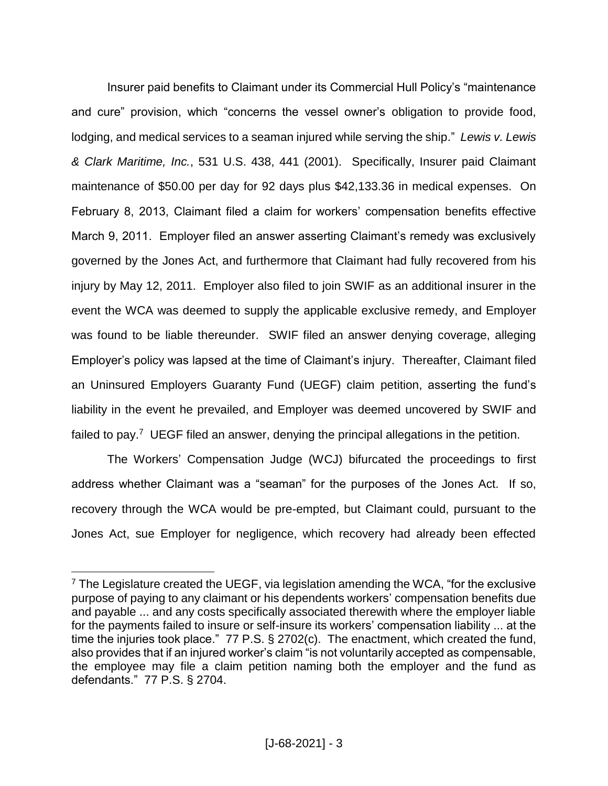Insurer paid benefits to Claimant under its Commercial Hull Policy's "maintenance and cure" provision, which "concerns the vessel owner's obligation to provide food, lodging, and medical services to a seaman injured while serving the ship." *Lewis v. Lewis & Clark Maritime, Inc.*, 531 U.S. 438, 441 (2001). Specifically, Insurer paid Claimant maintenance of \$50.00 per day for 92 days plus \$42,133.36 in medical expenses. On February 8, 2013, Claimant filed a claim for workers' compensation benefits effective March 9, 2011. Employer filed an answer asserting Claimant's remedy was exclusively governed by the Jones Act, and furthermore that Claimant had fully recovered from his injury by May 12, 2011. Employer also filed to join SWIF as an additional insurer in the event the WCA was deemed to supply the applicable exclusive remedy, and Employer was found to be liable thereunder. SWIF filed an answer denying coverage, alleging Employer's policy was lapsed at the time of Claimant's injury. Thereafter, Claimant filed an Uninsured Employers Guaranty Fund (UEGF) claim petition, asserting the fund's liability in the event he prevailed, and Employer was deemed uncovered by SWIF and failed to pay.<sup>7</sup> UEGF filed an answer, denying the principal allegations in the petition.

The Workers' Compensation Judge (WCJ) bifurcated the proceedings to first address whether Claimant was a "seaman" for the purposes of the Jones Act. If so, recovery through the WCA would be pre-empted, but Claimant could, pursuant to the Jones Act, sue Employer for negligence, which recovery had already been effected

 $7$  The Legislature created the UEGF, via legislation amending the WCA, "for the exclusive purpose of paying to any claimant or his dependents workers' compensation benefits due and payable ... and any costs specifically associated therewith where the employer liable for the payments failed to insure or self-insure its workers' compensation liability ... at the time the injuries took place." 77 P.S. § 2702(c). The enactment, which created the fund, also provides that if an injured worker's claim "is not voluntarily accepted as compensable, the employee may file a claim petition naming both the employer and the fund as defendants." 77 P.S. § 2704.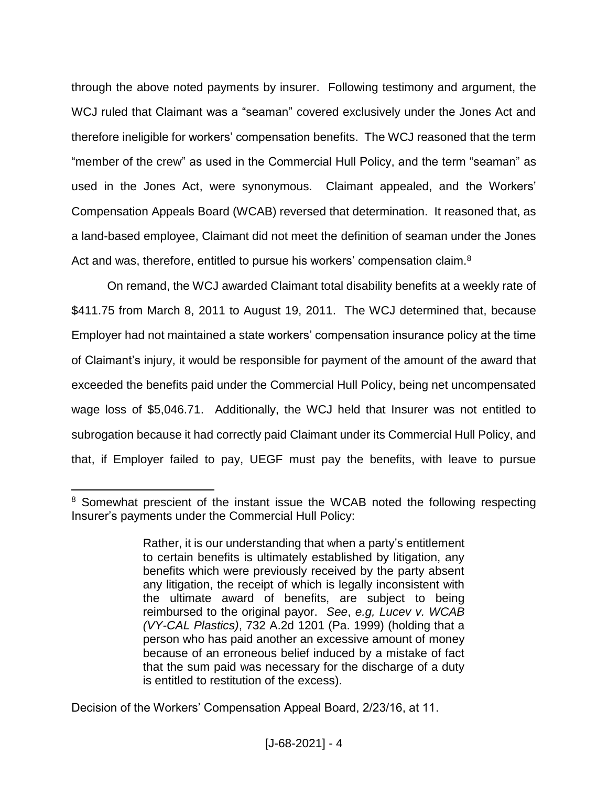through the above noted payments by insurer. Following testimony and argument, the WCJ ruled that Claimant was a "seaman" covered exclusively under the Jones Act and therefore ineligible for workers' compensation benefits. The WCJ reasoned that the term "member of the crew" as used in the Commercial Hull Policy, and the term "seaman" as used in the Jones Act, were synonymous. Claimant appealed, and the Workers' Compensation Appeals Board (WCAB) reversed that determination. It reasoned that, as a land-based employee, Claimant did not meet the definition of seaman under the Jones Act and was, therefore, entitled to pursue his workers' compensation claim.<sup>8</sup>

On remand, the WCJ awarded Claimant total disability benefits at a weekly rate of \$411.75 from March 8, 2011 to August 19, 2011. The WCJ determined that, because Employer had not maintained a state workers' compensation insurance policy at the time of Claimant's injury, it would be responsible for payment of the amount of the award that exceeded the benefits paid under the Commercial Hull Policy, being net uncompensated wage loss of \$5,046.71. Additionally, the WCJ held that Insurer was not entitled to subrogation because it had correctly paid Claimant under its Commercial Hull Policy, and that, if Employer failed to pay, UEGF must pay the benefits, with leave to pursue

<sup>&</sup>lt;sup>8</sup> Somewhat prescient of the instant issue the WCAB noted the following respecting Insurer's payments under the Commercial Hull Policy:

Rather, it is our understanding that when a party's entitlement to certain benefits is ultimately established by litigation, any benefits which were previously received by the party absent any litigation, the receipt of which is legally inconsistent with the ultimate award of benefits, are subject to being reimbursed to the original payor. *See*, *e.g, Lucev v. WCAB (VY-CAL Plastics)*, 732 A.2d 1201 (Pa. 1999) (holding that a person who has paid another an excessive amount of money because of an erroneous belief induced by a mistake of fact that the sum paid was necessary for the discharge of a duty is entitled to restitution of the excess).

Decision of the Workers' Compensation Appeal Board, 2/23/16, at 11.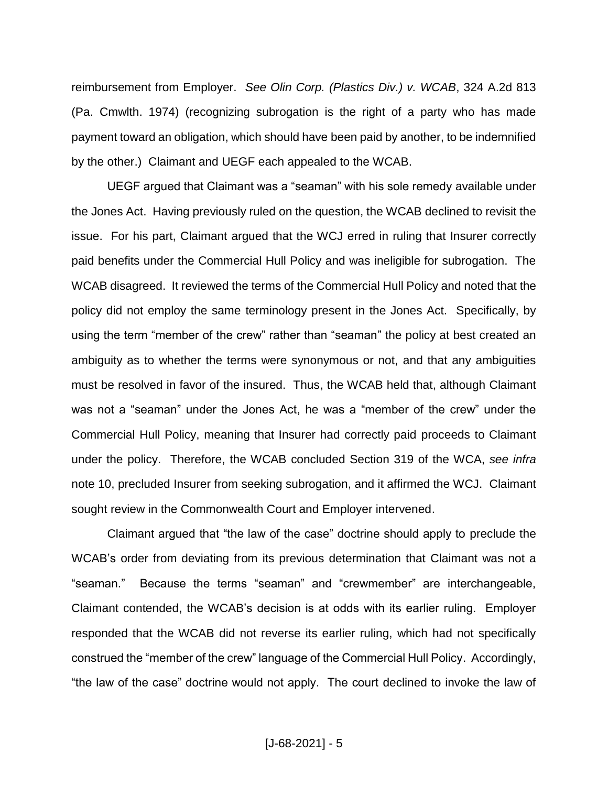reimbursement from Employer. *See Olin Corp. (Plastics Div.) v. WCAB*, 324 A.2d 813 (Pa. Cmwlth. 1974) (recognizing subrogation is the right of a party who has made payment toward an obligation, which should have been paid by another, to be indemnified by the other.) Claimant and UEGF each appealed to the WCAB.

UEGF argued that Claimant was a "seaman" with his sole remedy available under the Jones Act. Having previously ruled on the question, the WCAB declined to revisit the issue. For his part, Claimant argued that the WCJ erred in ruling that Insurer correctly paid benefits under the Commercial Hull Policy and was ineligible for subrogation. The WCAB disagreed. It reviewed the terms of the Commercial Hull Policy and noted that the policy did not employ the same terminology present in the Jones Act. Specifically, by using the term "member of the crew" rather than "seaman" the policy at best created an ambiguity as to whether the terms were synonymous or not, and that any ambiguities must be resolved in favor of the insured. Thus, the WCAB held that, although Claimant was not a "seaman" under the Jones Act, he was a "member of the crew" under the Commercial Hull Policy, meaning that Insurer had correctly paid proceeds to Claimant under the policy. Therefore, the WCAB concluded Section 319 of the WCA, *see infra* note 10, precluded Insurer from seeking subrogation, and it affirmed the WCJ. Claimant sought review in the Commonwealth Court and Employer intervened.

Claimant argued that "the law of the case" doctrine should apply to preclude the WCAB's order from deviating from its previous determination that Claimant was not a "seaman." Because the terms "seaman" and "crewmember" are interchangeable, Claimant contended, the WCAB's decision is at odds with its earlier ruling. Employer responded that the WCAB did not reverse its earlier ruling, which had not specifically construed the "member of the crew" language of the Commercial Hull Policy. Accordingly, "the law of the case" doctrine would not apply. The court declined to invoke the law of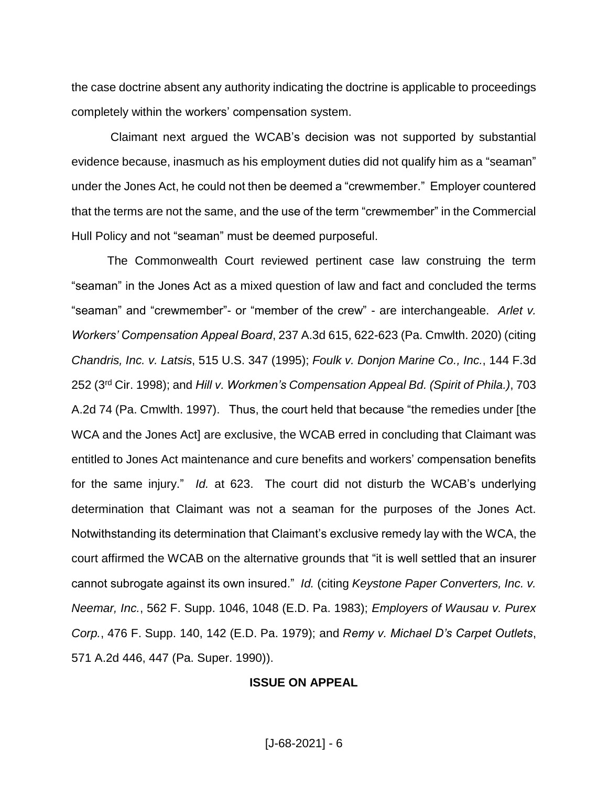the case doctrine absent any authority indicating the doctrine is applicable to proceedings completely within the workers' compensation system.

Claimant next argued the WCAB's decision was not supported by substantial evidence because, inasmuch as his employment duties did not qualify him as a "seaman" under the Jones Act, he could not then be deemed a "crewmember." Employer countered that the terms are not the same, and the use of the term "crewmember" in the Commercial Hull Policy and not "seaman" must be deemed purposeful.

The Commonwealth Court reviewed pertinent case law construing the term "seaman" in the Jones Act as a mixed question of law and fact and concluded the terms "seaman" and "crewmember"- or "member of the crew" - are interchangeable. *Arlet v. Workers' Compensation Appeal Board*, 237 A.3d 615, 622-623 (Pa. Cmwlth. 2020) (citing *Chandris, Inc. v. Latsis*, 515 U.S. 347 (1995); *Foulk v. Donjon Marine Co., Inc.*, 144 F.3d 252 (3rd Cir. 1998); and *Hill v. Workmen's Compensation Appeal Bd. (Spirit of Phila.)*, 703 A.2d 74 (Pa. Cmwlth. 1997). Thus, the court held that because "the remedies under [the WCA and the Jones Act] are exclusive, the WCAB erred in concluding that Claimant was entitled to Jones Act maintenance and cure benefits and workers' compensation benefits for the same injury." *Id.* at 623. The court did not disturb the WCAB's underlying determination that Claimant was not a seaman for the purposes of the Jones Act. Notwithstanding its determination that Claimant's exclusive remedy lay with the WCA, the court affirmed the WCAB on the alternative grounds that "it is well settled that an insurer cannot subrogate against its own insured." *Id.* (citing *Keystone Paper Converters, Inc. v. Neemar, Inc.*, 562 F. Supp. 1046, 1048 (E.D. Pa. 1983); *Employers of Wausau v. Purex Corp.*, 476 F. Supp. 140, 142 (E.D. Pa. 1979); and *Remy v. Michael D's Carpet Outlets*, 571 A.2d 446, 447 (Pa. Super. 1990)).

#### **ISSUE ON APPEAL**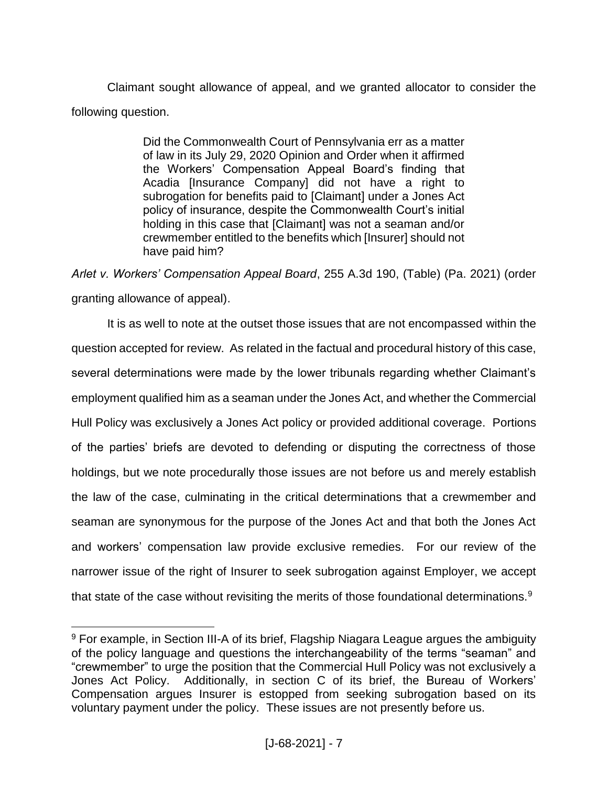Claimant sought allowance of appeal, and we granted allocator to consider the following question.

> Did the Commonwealth Court of Pennsylvania err as a matter of law in its July 29, 2020 Opinion and Order when it affirmed the Workers' Compensation Appeal Board's finding that Acadia [Insurance Company] did not have a right to subrogation for benefits paid to [Claimant] under a Jones Act policy of insurance, despite the Commonwealth Court's initial holding in this case that [Claimant] was not a seaman and/or crewmember entitled to the benefits which [Insurer] should not have paid him?

*Arlet v. Workers' Compensation Appeal Board*, 255 A.3d 190, (Table) (Pa. 2021) (order granting allowance of appeal).

It is as well to note at the outset those issues that are not encompassed within the question accepted for review. As related in the factual and procedural history of this case, several determinations were made by the lower tribunals regarding whether Claimant's employment qualified him as a seaman under the Jones Act, and whether the Commercial Hull Policy was exclusively a Jones Act policy or provided additional coverage. Portions of the parties' briefs are devoted to defending or disputing the correctness of those holdings, but we note procedurally those issues are not before us and merely establish the law of the case, culminating in the critical determinations that a crewmember and seaman are synonymous for the purpose of the Jones Act and that both the Jones Act and workers' compensation law provide exclusive remedies. For our review of the narrower issue of the right of Insurer to seek subrogation against Employer, we accept that state of the case without revisiting the merits of those foundational determinations.<sup>9</sup>

<sup>&</sup>lt;sup>9</sup> For example, in Section III-A of its brief, Flagship Niagara League argues the ambiguity of the policy language and questions the interchangeability of the terms "seaman" and "crewmember" to urge the position that the Commercial Hull Policy was not exclusively a Jones Act Policy. Additionally, in section C of its brief, the Bureau of Workers' Compensation argues Insurer is estopped from seeking subrogation based on its voluntary payment under the policy. These issues are not presently before us.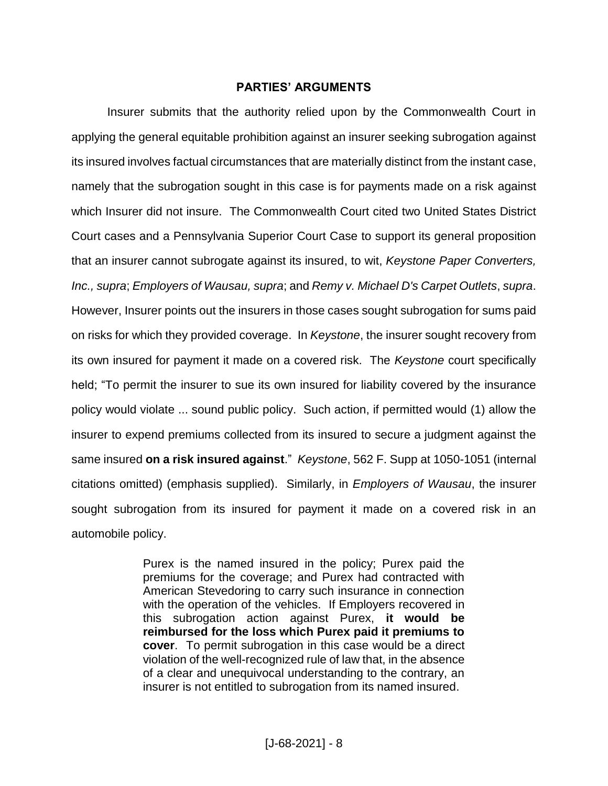#### **PARTIES' ARGUMENTS**

Insurer submits that the authority relied upon by the Commonwealth Court in applying the general equitable prohibition against an insurer seeking subrogation against its insured involves factual circumstances that are materially distinct from the instant case, namely that the subrogation sought in this case is for payments made on a risk against which Insurer did not insure. The Commonwealth Court cited two United States District Court cases and a Pennsylvania Superior Court Case to support its general proposition that an insurer cannot subrogate against its insured, to wit, *Keystone Paper Converters, Inc., supra*; *Employers of Wausau, supra*; and *Remy v. Michael D's Carpet Outlets*, *supra*. However, Insurer points out the insurers in those cases sought subrogation for sums paid on risks for which they provided coverage. In *Keystone*, the insurer sought recovery from its own insured for payment it made on a covered risk. The *Keystone* court specifically held; "To permit the insurer to sue its own insured for liability covered by the insurance policy would violate ... sound public policy. Such action, if permitted would (1) allow the insurer to expend premiums collected from its insured to secure a judgment against the same insured **on a risk insured against**." *Keystone*, 562 F. Supp at 1050-1051 (internal citations omitted) (emphasis supplied). Similarly, in *Employers of Wausau*, the insurer sought subrogation from its insured for payment it made on a covered risk in an automobile policy.

> Purex is the named insured in the policy; Purex paid the premiums for the coverage; and Purex had contracted with American Stevedoring to carry such insurance in connection with the operation of the vehicles. If Employers recovered in this subrogation action against Purex, **it would be reimbursed for the loss which Purex paid it premiums to cover**. To permit subrogation in this case would be a direct violation of the well-recognized rule of law that, in the absence of a clear and unequivocal understanding to the contrary, an insurer is not entitled to subrogation from its named insured.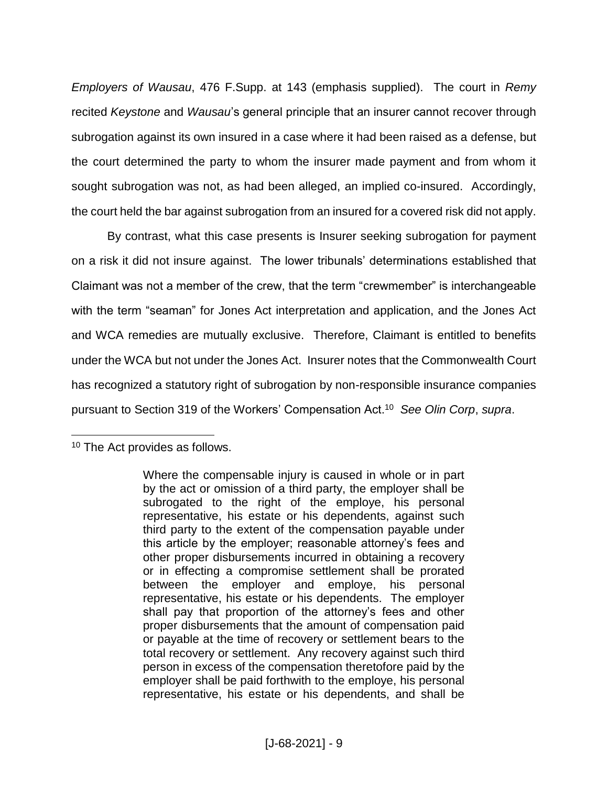*Employers of Wausau*, 476 F.Supp. at 143 (emphasis supplied). The court in *Remy* recited *Keystone* and *Wausau*'s general principle that an insurer cannot recover through subrogation against its own insured in a case where it had been raised as a defense, but the court determined the party to whom the insurer made payment and from whom it sought subrogation was not, as had been alleged, an implied co-insured. Accordingly, the court held the bar against subrogation from an insured for a covered risk did not apply.

By contrast, what this case presents is Insurer seeking subrogation for payment on a risk it did not insure against. The lower tribunals' determinations established that Claimant was not a member of the crew, that the term "crewmember" is interchangeable with the term "seaman" for Jones Act interpretation and application, and the Jones Act and WCA remedies are mutually exclusive. Therefore, Claimant is entitled to benefits under the WCA but not under the Jones Act. Insurer notes that the Commonwealth Court has recognized a statutory right of subrogation by non-responsible insurance companies pursuant to Section 319 of the Workers' Compensation Act.<sup>10</sup> *See Olin Corp*, *supra*.

<sup>&</sup>lt;sup>10</sup> The Act provides as follows.

Where the compensable injury is caused in whole or in part by the act or omission of a third party, the employer shall be subrogated to the right of the employe, his personal representative, his estate or his dependents, against such third party to the extent of the compensation payable under this article by the employer; reasonable attorney's fees and other proper disbursements incurred in obtaining a recovery or in effecting a compromise settlement shall be prorated between the employer and employe, his personal representative, his estate or his dependents. The employer shall pay that proportion of the attorney's fees and other proper disbursements that the amount of compensation paid or payable at the time of recovery or settlement bears to the total recovery or settlement. Any recovery against such third person in excess of the compensation theretofore paid by the employer shall be paid forthwith to the employe, his personal representative, his estate or his dependents, and shall be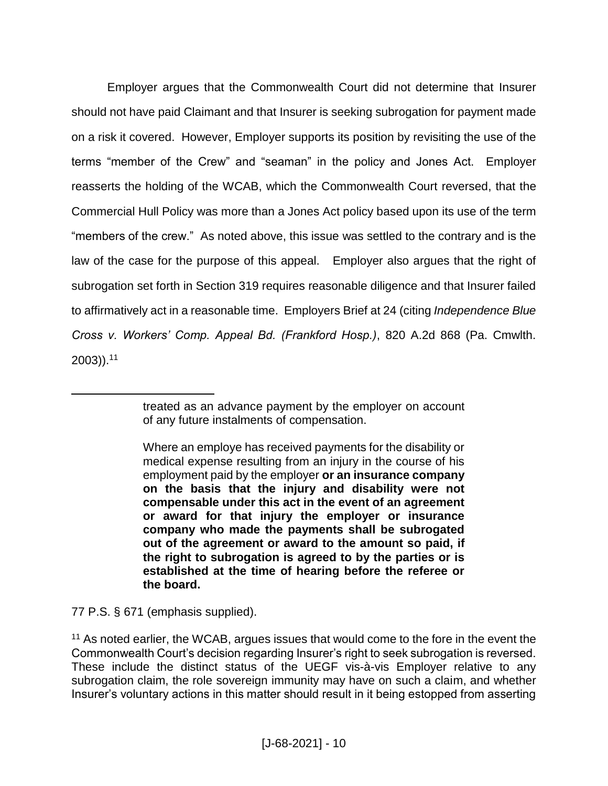Employer argues that the Commonwealth Court did not determine that Insurer should not have paid Claimant and that Insurer is seeking subrogation for payment made on a risk it covered. However, Employer supports its position by revisiting the use of the terms "member of the Crew" and "seaman" in the policy and Jones Act. Employer reasserts the holding of the WCAB, which the Commonwealth Court reversed, that the Commercial Hull Policy was more than a Jones Act policy based upon its use of the term "members of the crew." As noted above, this issue was settled to the contrary and is the law of the case for the purpose of this appeal. Employer also argues that the right of subrogation set forth in Section 319 requires reasonable diligence and that Insurer failed to affirmatively act in a reasonable time. Employers Brief at 24 (citing *Independence Blue Cross v. Workers' Comp. Appeal Bd. (Frankford Hosp.)*, 820 A.2d 868 (Pa. Cmwlth. 2003)).<sup>11</sup>

77 P.S. § 671 (emphasis supplied).

treated as an advance payment by the employer on account of any future instalments of compensation.

Where an employe has received payments for the disability or medical expense resulting from an injury in the course of his employment paid by the employer **or an insurance company on the basis that the injury and disability were not compensable under this act in the event of an agreement or award for that injury the employer or insurance company who made the payments shall be subrogated out of the agreement or award to the amount so paid, if the right to subrogation is agreed to by the parties or is established at the time of hearing before the referee or the board.**

<sup>&</sup>lt;sup>11</sup> As noted earlier, the WCAB, argues issues that would come to the fore in the event the Commonwealth Court's decision regarding Insurer's right to seek subrogation is reversed. These include the distinct status of the UEGF vis-à-vis Employer relative to any subrogation claim, the role sovereign immunity may have on such a claim, and whether Insurer's voluntary actions in this matter should result in it being estopped from asserting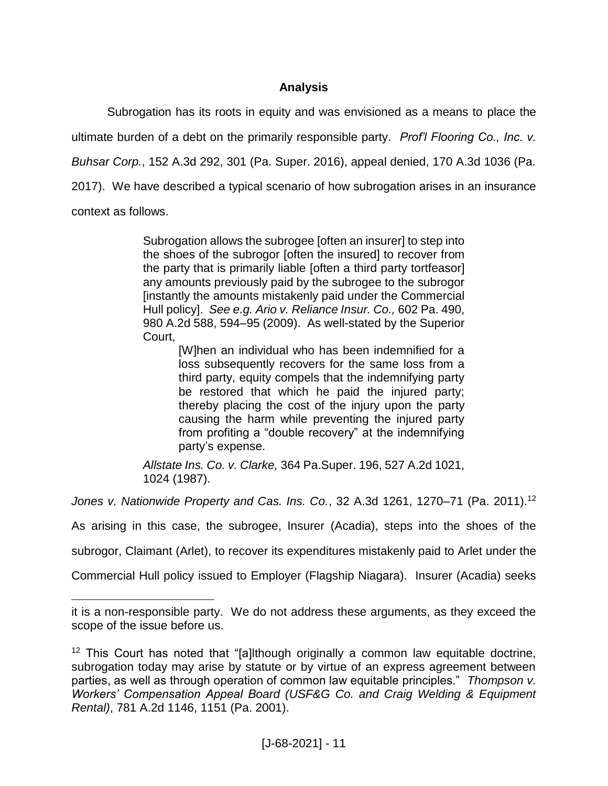# **Analysis**

Subrogation has its roots in equity and was envisioned as a means to place the ultimate burden of a debt on the primarily responsible party. *Prof'l Flooring Co., Inc. v. Buhsar Corp.*, 152 A.3d 292, 301 (Pa. Super. 2016), appeal denied, 170 A.3d 1036 (Pa. 2017). We have described a typical scenario of how subrogation arises in an insurance context as follows.

> Subrogation allows the subrogee [often an insurer] to step into the shoes of the subrogor [often the insured] to recover from the party that is primarily liable [often a third party tortfeasor] any amounts previously paid by the subrogee to the subrogor [instantly the amounts mistakenly paid under the Commercial Hull policy]. *See e.g. Ario v. Reliance Insur. Co.,* 602 Pa. 490, 980 A.2d 588, 594–95 (2009). As well-stated by the Superior Court,

> > [W]hen an individual who has been indemnified for a loss subsequently recovers for the same loss from a third party, equity compels that the indemnifying party be restored that which he paid the injured party; thereby placing the cost of the injury upon the party causing the harm while preventing the injured party from profiting a "double recovery" at the indemnifying party's expense.

*Allstate Ins. Co. v. Clarke,* 364 Pa.Super. 196, 527 A.2d 1021, 1024 (1987).

*Jones v. Nationwide Property and Cas. Ins. Co.*, 32 A.3d 1261, 1270–71 (Pa. 2011). 12

As arising in this case, the subrogee, Insurer (Acadia), steps into the shoes of the

subrogor, Claimant (Arlet), to recover its expenditures mistakenly paid to Arlet under the

Commercial Hull policy issued to Employer (Flagship Niagara). Insurer (Acadia) seeks

it is a non-responsible party. We do not address these arguments, as they exceed the scope of the issue before us.

<sup>&</sup>lt;sup>12</sup> This Court has noted that "[a]lthough originally a common law equitable doctrine, subrogation today may arise by statute or by virtue of an express agreement between parties, as well as through operation of common law equitable principles." *Thompson v. Workers' Compensation Appeal Board (USF&G Co. and Craig Welding & Equipment Rental)*, 781 A.2d 1146, 1151 (Pa. 2001).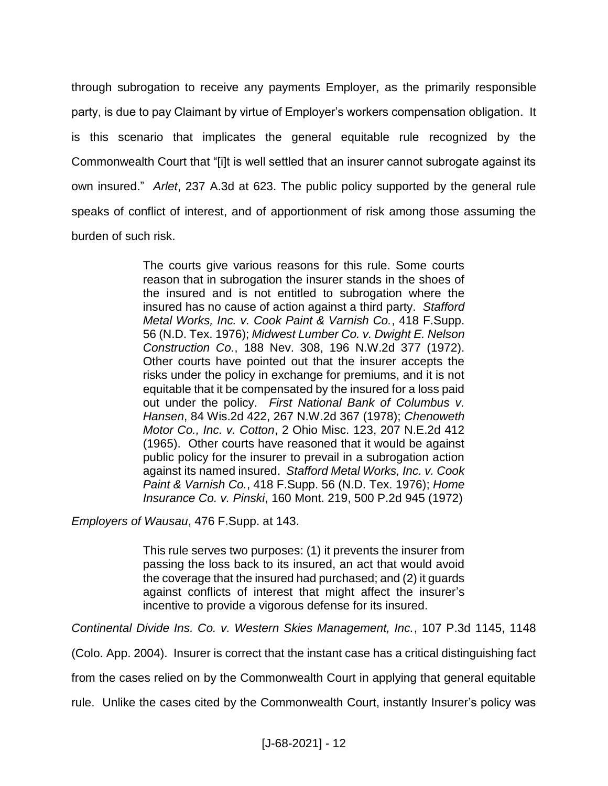through subrogation to receive any payments Employer, as the primarily responsible party, is due to pay Claimant by virtue of Employer's workers compensation obligation. It is this scenario that implicates the general equitable rule recognized by the Commonwealth Court that "[i]t is well settled that an insurer cannot subrogate against its own insured." *Arlet*, 237 A.3d at 623. The public policy supported by the general rule speaks of conflict of interest, and of apportionment of risk among those assuming the burden of such risk.

> The courts give various reasons for this rule. Some courts reason that in subrogation the insurer stands in the shoes of the insured and is not entitled to subrogation where the insured has no cause of action against a third party. *Stafford Metal Works, Inc. v. Cook Paint & Varnish Co.*, 418 F.Supp. 56 (N.D. Tex. 1976); *Midwest Lumber Co. v. Dwight E. Nelson Construction Co.*, 188 Nev. 308, 196 N.W.2d 377 (1972). Other courts have pointed out that the insurer accepts the risks under the policy in exchange for premiums, and it is not equitable that it be compensated by the insured for a loss paid out under the policy. *First National Bank of Columbus v. Hansen*, 84 Wis.2d 422, 267 N.W.2d 367 (1978); *Chenoweth Motor Co., Inc. v. Cotton*, 2 Ohio Misc. 123, 207 N.E.2d 412 (1965). Other courts have reasoned that it would be against public policy for the insurer to prevail in a subrogation action against its named insured. *Stafford Metal Works, Inc. v. Cook Paint & Varnish Co.*, 418 F.Supp. 56 (N.D. Tex. 1976); *Home Insurance Co. v. Pinski*, 160 Mont. 219, 500 P.2d 945 (1972)

*Employers of Wausau*, 476 F.Supp. at 143.

This rule serves two purposes: (1) it prevents the insurer from passing the loss back to its insured, an act that would avoid the coverage that the insured had purchased; and (2) it guards against conflicts of interest that might affect the insurer's incentive to provide a vigorous defense for its insured.

*Continental Divide Ins. Co. v. Western Skies Management, Inc.*, 107 P.3d 1145, 1148

(Colo. App. 2004). Insurer is correct that the instant case has a critical distinguishing fact

from the cases relied on by the Commonwealth Court in applying that general equitable

rule. Unlike the cases cited by the Commonwealth Court, instantly Insurer's policy was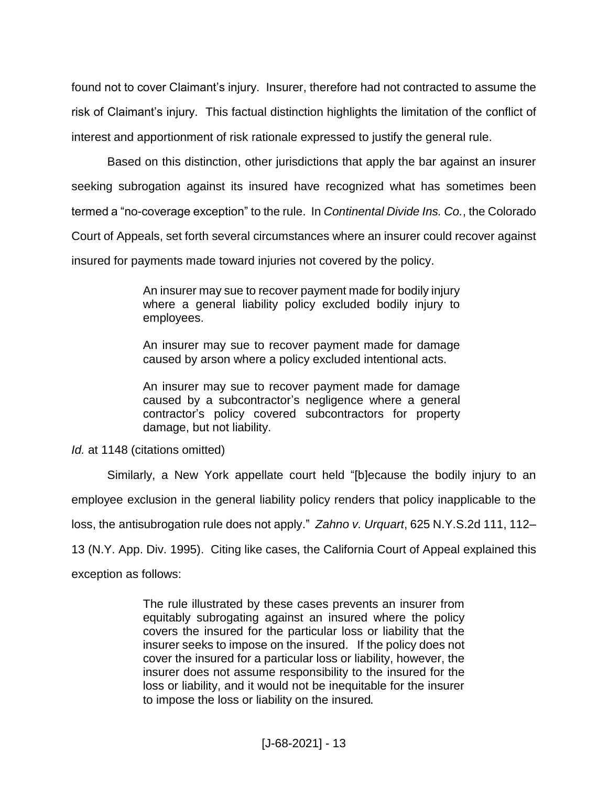found not to cover Claimant's injury. Insurer, therefore had not contracted to assume the risk of Claimant's injury. This factual distinction highlights the limitation of the conflict of interest and apportionment of risk rationale expressed to justify the general rule.

Based on this distinction, other jurisdictions that apply the bar against an insurer seeking subrogation against its insured have recognized what has sometimes been termed a "no-coverage exception" to the rule. In *Continental Divide Ins. Co.*, the Colorado Court of Appeals, set forth several circumstances where an insurer could recover against insured for payments made toward injuries not covered by the policy.

> An insurer may sue to recover payment made for bodily injury where a general liability policy excluded bodily injury to employees.

> An insurer may sue to recover payment made for damage caused by arson where a policy excluded intentional acts.

> An insurer may sue to recover payment made for damage caused by a subcontractor's negligence where a general contractor's policy covered subcontractors for property damage, but not liability.

*Id.* at 1148 (citations omitted)

Similarly, a New York appellate court held "[b]ecause the bodily injury to an employee exclusion in the general liability policy renders that policy inapplicable to the loss, the antisubrogation rule does not apply." *Zahno v. Urquart*, 625 N.Y.S.2d 111, 112– 13 (N.Y. App. Div. 1995). Citing like cases, the California Court of Appeal explained this exception as follows:

> The rule illustrated by these cases prevents an insurer from equitably subrogating against an insured where the policy covers the insured for the particular loss or liability that the insurer seeks to impose on the insured. If the policy does not cover the insured for a particular loss or liability, however, the insurer does not assume responsibility to the insured for the loss or liability, and it would not be inequitable for the insurer to impose the loss or liability on the insured.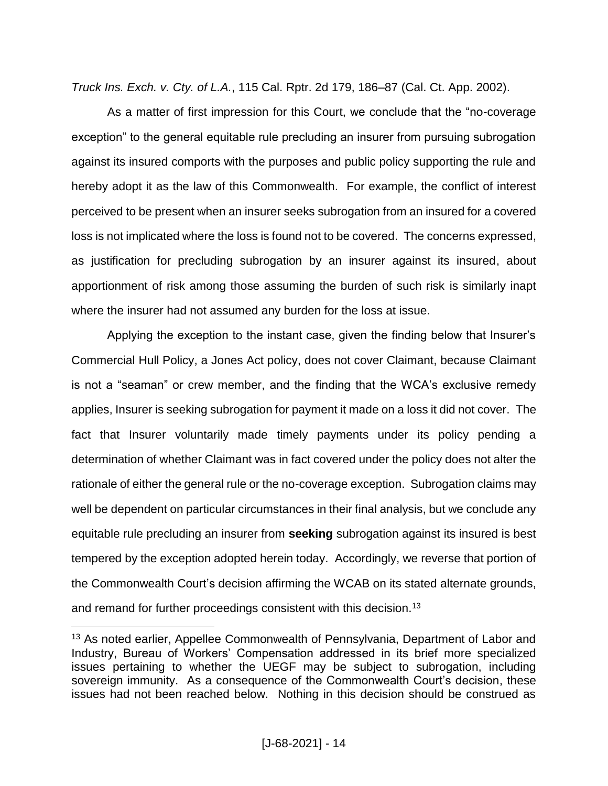*Truck Ins. Exch. v. Cty. of L.A.*, 115 Cal. Rptr. 2d 179, 186–87 (Cal. Ct. App. 2002).

As a matter of first impression for this Court, we conclude that the "no-coverage exception" to the general equitable rule precluding an insurer from pursuing subrogation against its insured comports with the purposes and public policy supporting the rule and hereby adopt it as the law of this Commonwealth. For example, the conflict of interest perceived to be present when an insurer seeks subrogation from an insured for a covered loss is not implicated where the loss is found not to be covered. The concerns expressed, as justification for precluding subrogation by an insurer against its insured, about apportionment of risk among those assuming the burden of such risk is similarly inapt where the insurer had not assumed any burden for the loss at issue.

Applying the exception to the instant case, given the finding below that Insurer's Commercial Hull Policy, a Jones Act policy, does not cover Claimant, because Claimant is not a "seaman" or crew member, and the finding that the WCA's exclusive remedy applies, Insurer is seeking subrogation for payment it made on a loss it did not cover. The fact that Insurer voluntarily made timely payments under its policy pending a determination of whether Claimant was in fact covered under the policy does not alter the rationale of either the general rule or the no-coverage exception. Subrogation claims may well be dependent on particular circumstances in their final analysis, but we conclude any equitable rule precluding an insurer from **seeking** subrogation against its insured is best tempered by the exception adopted herein today. Accordingly, we reverse that portion of the Commonwealth Court's decision affirming the WCAB on its stated alternate grounds, and remand for further proceedings consistent with this decision.<sup>13</sup>

<sup>&</sup>lt;sup>13</sup> As noted earlier, Appellee Commonwealth of Pennsylvania, Department of Labor and Industry, Bureau of Workers' Compensation addressed in its brief more specialized issues pertaining to whether the UEGF may be subject to subrogation, including sovereign immunity. As a consequence of the Commonwealth Court's decision, these issues had not been reached below. Nothing in this decision should be construed as